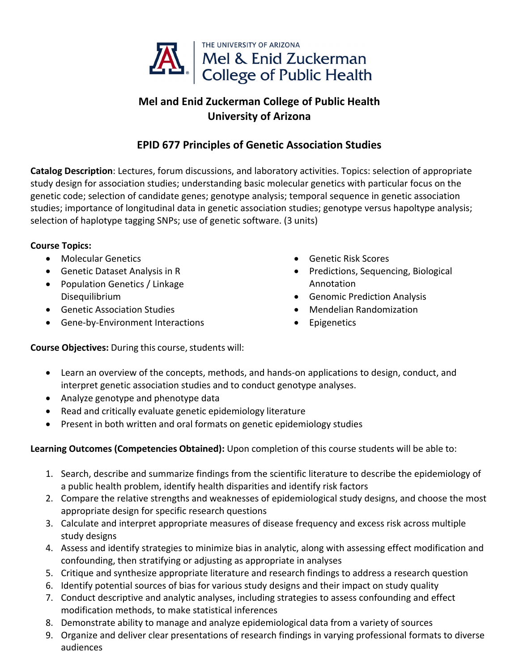

## **Mel and Enid Zuckerman College of Public Health University of Arizona**

## **EPID 677 Principles of Genetic Association Studies**

**Catalog Description**: Lectures, forum discussions, and laboratory activities. Topics: selection of appropriate study design for association studies; understanding basic molecular genetics with particular focus on the genetic code; selection of candidate genes; genotype analysis; temporal sequence in genetic association studies; importance of longitudinal data in genetic association studies; genotype versus hapoltype analysis; selection of haplotype tagging SNPs; use of genetic software. (3 units)

## **Course Topics:**

- Molecular Genetics
- Genetic Dataset Analysis in R
- Population Genetics / Linkage Disequilibrium
- Genetic Association Studies
- Gene-by-Environment Interactions
- Genetic Risk Scores
- Predictions, Sequencing, Biological Annotation
- Genomic Prediction Analysis
- Mendelian Randomization
- Epigenetics

**Course Objectives:** During this course, students will:

- Learn an overview of the concepts, methods, and hands-on applications to design, conduct, and interpret genetic association studies and to conduct genotype analyses.
- Analyze genotype and phenotype data
- Read and critically evaluate genetic epidemiology literature
- Present in both written and oral formats on genetic epidemiology studies

## **Learning Outcomes (Competencies Obtained):** Upon completion of this course students will be able to:

- 1. Search, describe and summarize findings from the scientific literature to describe the epidemiology of a public health problem, identify health disparities and identify risk factors
- 2. Compare the relative strengths and weaknesses of epidemiological study designs, and choose the most appropriate design for specific research questions
- 3. Calculate and interpret appropriate measures of disease frequency and excess risk across multiple study designs
- 4. Assess and identify strategies to minimize bias in analytic, along with assessing effect modification and confounding, then stratifying or adjusting as appropriate in analyses
- 5. Critique and synthesize appropriate literature and research findings to address a research question
- 6. Identify potential sources of bias for various study designs and their impact on study quality
- 7. Conduct descriptive and analytic analyses, including strategies to assess confounding and effect modification methods, to make statistical inferences
- 8. Demonstrate ability to manage and analyze epidemiological data from a variety of sources
- 9. Organize and deliver clear presentations of research findings in varying professional formats to diverse audiences